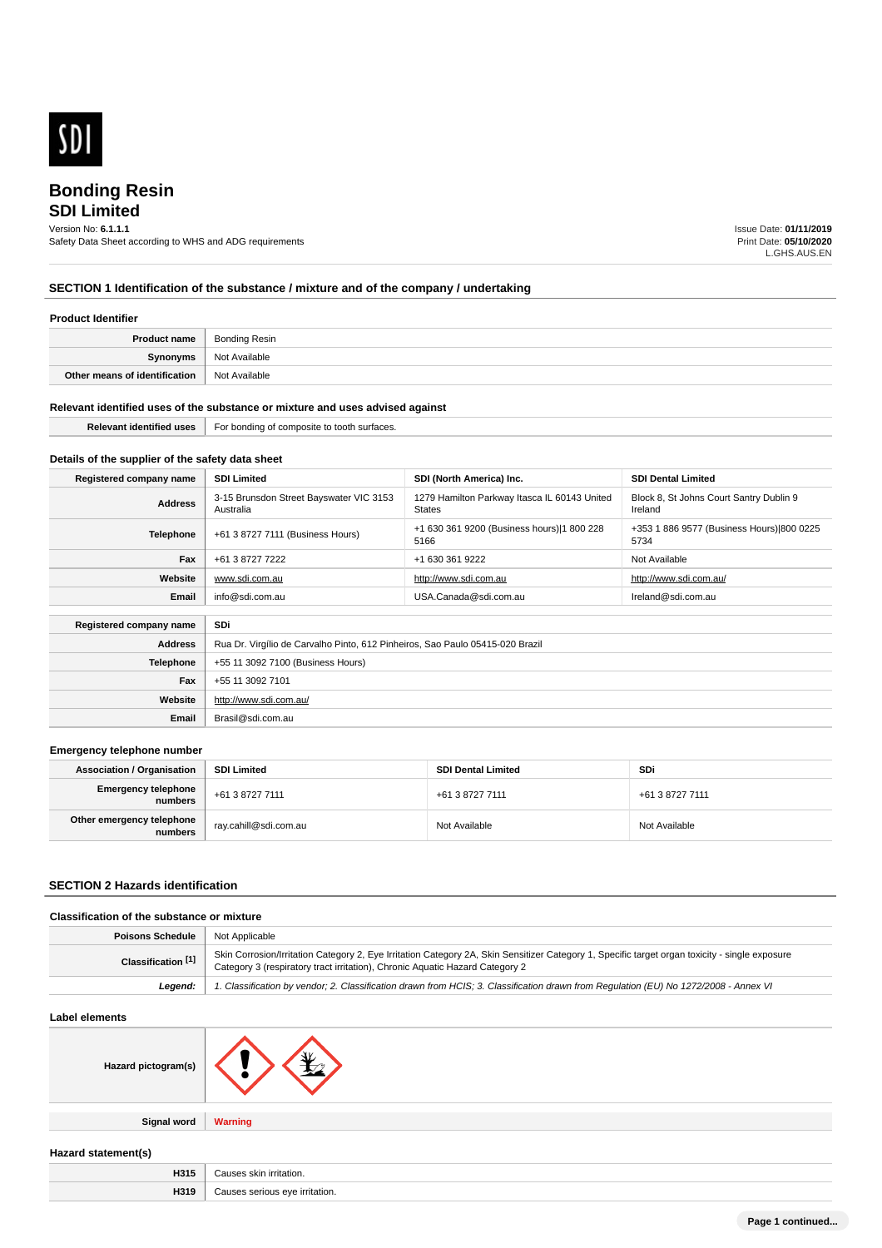

# **SDI Limited** Version No: **6.1.1.1**

Safety Data Sheet according to WHS and ADG requirements

Issue Date: **01/11/2019** Print Date: **05/10/2020** L.GHS.AUS.EN

# **SECTION 1 Identification of the substance / mixture and of the company / undertaking**

#### **Product Identifier**

| Product name                  | Bonding Resin |
|-------------------------------|---------------|
| Synonyms                      | Not Available |
| Other means of identification | Not Available |

#### **Relevant identified uses of the substance or mixture and uses advised against**

**Email** Brasil@sdi.com.au

| ---<br>. | -oi<br>m surraces.<br>**** 10 100m |
|----------|------------------------------------|
|          |                                    |

# **Details of the supplier of the safety data sheet**

| Registered company name        | <b>SDI Limited</b>                                                            | SDI (North America) Inc.                                      | <b>SDI Dental Limited</b>                          |
|--------------------------------|-------------------------------------------------------------------------------|---------------------------------------------------------------|----------------------------------------------------|
| <b>Address</b>                 | 3-15 Brunsdon Street Bayswater VIC 3153<br>Australia                          | 1279 Hamilton Parkway Itasca IL 60143 United<br><b>States</b> | Block 8, St Johns Court Santry Dublin 9<br>Ireland |
| <b>Telephone</b>               | +61 3 8727 7111 (Business Hours)                                              | +1 630 361 9200 (Business hours) 1 800 228<br>5166            | +353 1 886 9577 (Business Hours) 800 0225<br>5734  |
| Fax                            | +61 3 8727 7222                                                               | +1 630 361 9222                                               | Not Available                                      |
| Website                        | www.sdi.com.au                                                                | http://www.sdi.com.au                                         | http://www.sdi.com.au/                             |
| Email                          | info@sdi.com.au                                                               | USA.Canada@sdi.com.au                                         | Ireland@sdi.com.au                                 |
| SDi<br>Registered company name |                                                                               |                                                               |                                                    |
| <b>Address</b>                 | Rua Dr. Virgílio de Carvalho Pinto, 612 Pinheiros, Sao Paulo 05415-020 Brazil |                                                               |                                                    |
| <b>Telephone</b>               | +55 11 3092 7100 (Business Hours)                                             |                                                               |                                                    |
| Fax                            | +55 11 3092 7101                                                              |                                                               |                                                    |
| Website                        | http://www.sdi.com.au/                                                        |                                                               |                                                    |

#### **Emergency telephone number**

| <b>Association / Organisation</b>    | <b>SDI Limited</b>      | <b>SDI Dental Limited</b> | SDi             |
|--------------------------------------|-------------------------|---------------------------|-----------------|
| Emergency telephone<br>numbers       | +61 3 8727 7111         | +61 3 8727 7111           | +61 3 8727 7111 |
| Other emergency telephone<br>numbers | ` ray.cahill@sdi.com.au | Not Available             | Not Available   |

# **SECTION 2 Hazards identification**

# **Classification of the substance or mixture**

| Poisons Schedule   | <sup>1</sup> Not Applicable                                                                                                                                                                                                    |
|--------------------|--------------------------------------------------------------------------------------------------------------------------------------------------------------------------------------------------------------------------------|
| Classification [1] | Skin Corrosion/Irritation Category 2, Eye Irritation Category 2A, Skin Sensitizer Category 1, Specific target organ toxicity - single exposure<br>Category 3 (respiratory tract irritation), Chronic Aquatic Hazard Category 2 |
| Leaend:            | 1. Classification by vendor; 2. Classification drawn from HCIS; 3. Classification drawn from Regulation (EU) No 1272/2008 - Annex VI                                                                                           |

# **Label elements**

| Hazard pictogram(s) |  |
|---------------------|--|
|                     |  |

**Signal word Warning**

#### **Hazard statement(s)**

| пσ    |      |
|-------|------|
| ,,,,, | .ושו |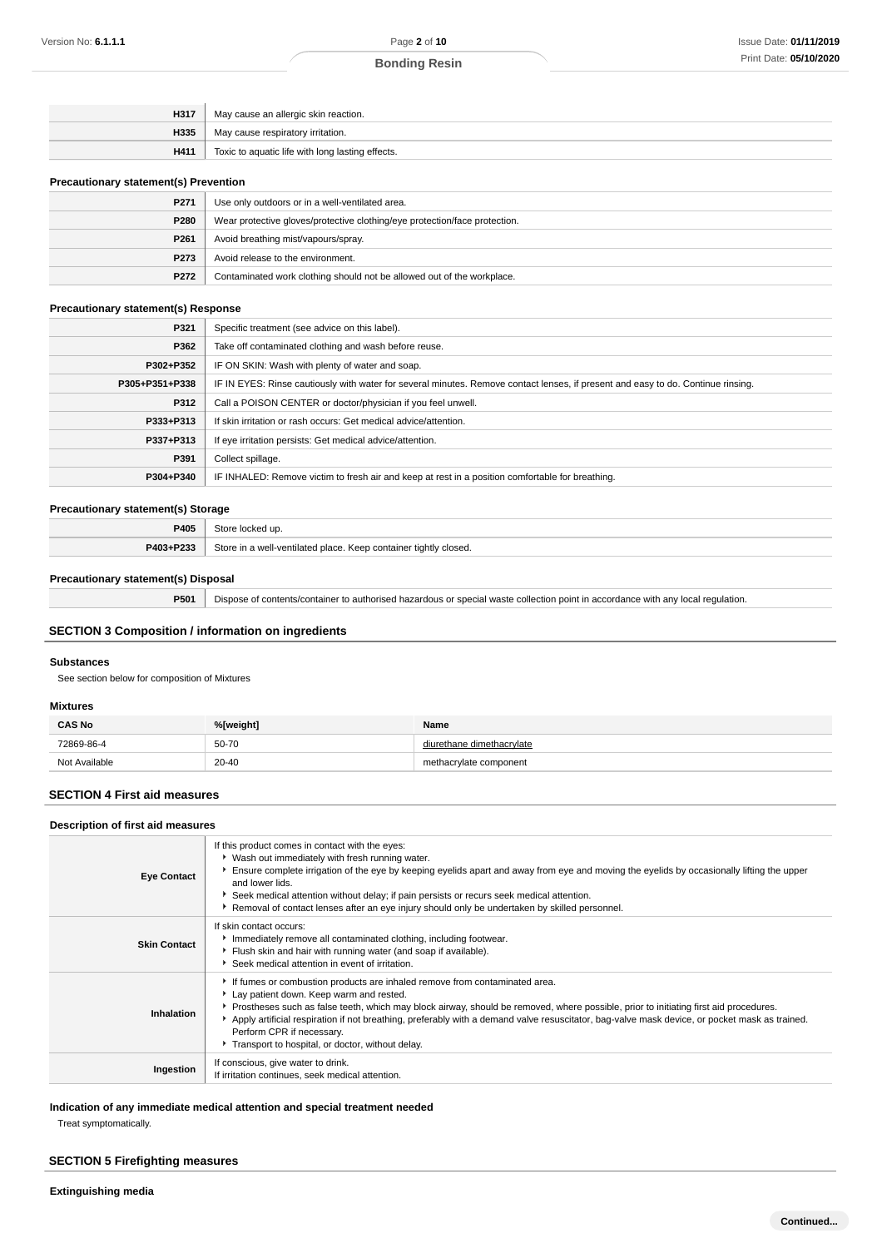| H317 | May cause an allergic skin reaction.             |
|------|--------------------------------------------------|
| H335 | May cause respiratory irritation.                |
| H411 | Toxic to aquatic life with long lasting effects. |
|      |                                                  |

# **Precautionary statement(s) Prevention**

| P271             | Use only outdoors or in a well-ventilated area.                            |  |
|------------------|----------------------------------------------------------------------------|--|
| P280             | Wear protective gloves/protective clothing/eye protection/face protection. |  |
| P <sub>261</sub> | Avoid breathing mist/vapours/spray.                                        |  |
| P273             | Avoid release to the environment.                                          |  |
| P272             | Contaminated work clothing should not be allowed out of the workplace.     |  |

# **Precautionary statement(s) Response**

| P321           | Specific treatment (see advice on this label).                                                                                   |  |
|----------------|----------------------------------------------------------------------------------------------------------------------------------|--|
| P362           | Take off contaminated clothing and wash before reuse.                                                                            |  |
| P302+P352      | IF ON SKIN: Wash with plenty of water and soap.                                                                                  |  |
| P305+P351+P338 | IF IN EYES: Rinse cautiously with water for several minutes. Remove contact lenses, if present and easy to do. Continue rinsing. |  |
| P312           | Call a POISON CENTER or doctor/physician if you feel unwell.                                                                     |  |
| P333+P313      | If skin irritation or rash occurs: Get medical advice/attention.                                                                 |  |
| P337+P313      | If eye irritation persists: Get medical advice/attention.                                                                        |  |
| P391           | Collect spillage.                                                                                                                |  |
| P304+P340      | IF INHALED: Remove victim to fresh air and keep at rest in a position comfortable for breathing.                                 |  |

#### **Precautionary statement(s) Storage**

| P405      | Store locked up.                                                 |
|-----------|------------------------------------------------------------------|
| P403+P233 | Store in a well-ventilated place. Keep container tightly closed. |

# **Precautionary statement(s) Disposal**

**P501** Dispose of contents/container to authorised hazardous or special waste collection point in accordance with any local regulation.

# **SECTION 3 Composition / information on ingredients**

# **Substances**

See section below for composition of Mixtures

#### **Mixtures**

| <b>CAS No</b> | %[weight] | Name                      |
|---------------|-----------|---------------------------|
| 72869-86-4    | 50-70     | diurethane dimethacrylate |
| Not Available | $20 - 40$ | methacrylate component    |

# **SECTION 4 First aid measures**

#### **Description of first aid measures**

| <b>Eye Contact</b>  | If this product comes in contact with the eyes:<br>▶ Wash out immediately with fresh running water.<br>Ensure complete irrigation of the eye by keeping eyelids apart and away from eye and moving the eyelids by occasionally lifting the upper<br>and lower lids.<br>Seek medical attention without delay; if pain persists or recurs seek medical attention.<br>Removal of contact lenses after an eye injury should only be undertaken by skilled personnel.                                  |
|---------------------|---------------------------------------------------------------------------------------------------------------------------------------------------------------------------------------------------------------------------------------------------------------------------------------------------------------------------------------------------------------------------------------------------------------------------------------------------------------------------------------------------|
| <b>Skin Contact</b> | If skin contact occurs:<br>Immediately remove all contaminated clothing, including footwear.<br>Flush skin and hair with running water (and soap if available).<br>▶ Seek medical attention in event of irritation.                                                                                                                                                                                                                                                                               |
| Inhalation          | If fumes or combustion products are inhaled remove from contaminated area.<br>Lay patient down. Keep warm and rested.<br>▶ Prostheses such as false teeth, which may block airway, should be removed, where possible, prior to initiating first aid procedures.<br>Apply artificial respiration if not breathing, preferably with a demand valve resuscitator, bag-valve mask device, or pocket mask as trained.<br>Perform CPR if necessary.<br>Transport to hospital, or doctor, without delay. |
| Ingestion           | If conscious, give water to drink.<br>If irritation continues, seek medical attention.                                                                                                                                                                                                                                                                                                                                                                                                            |

**Indication of any immediate medical attention and special treatment needed**

Treat symptomatically.

# **SECTION 5 Firefighting measures**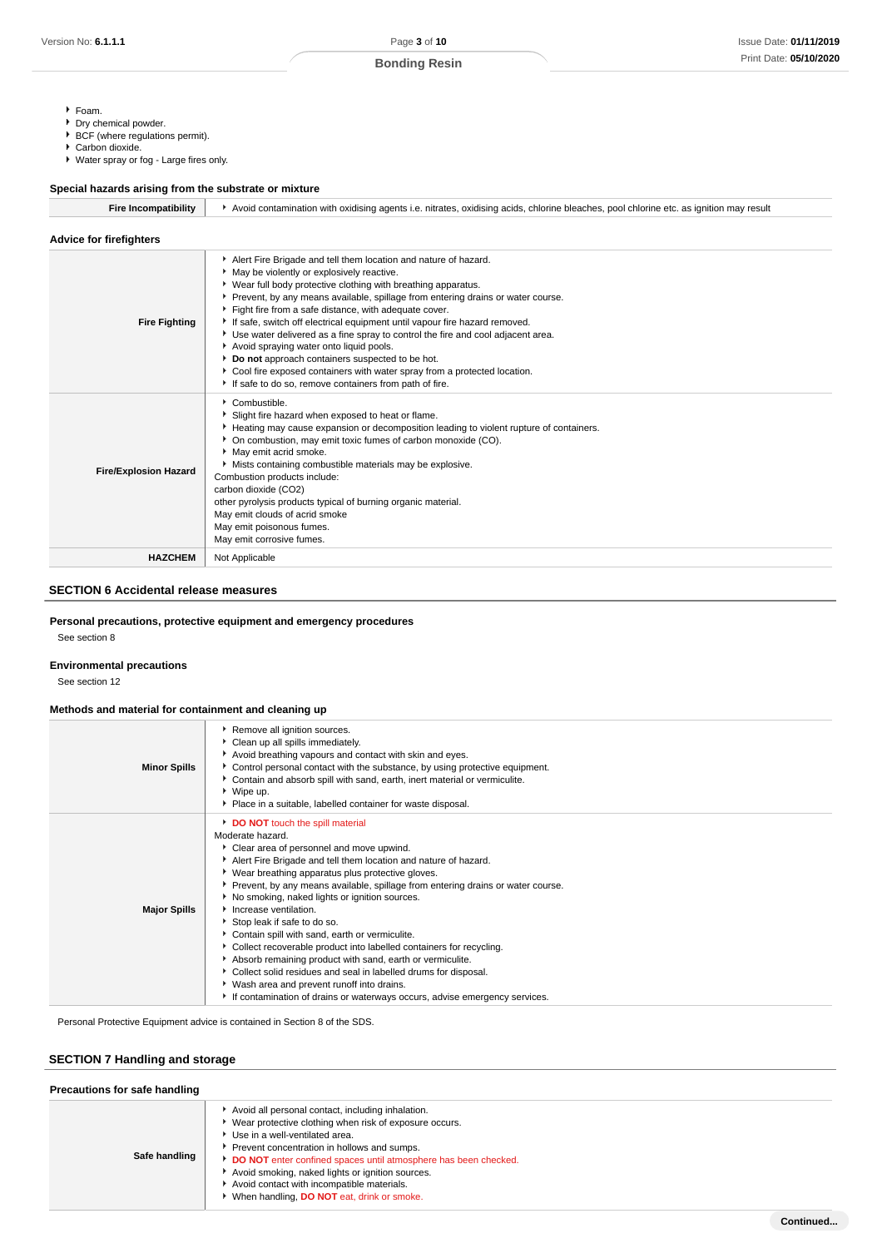- Foam.
- Dry chemical powder.
- ▶ BCF (where regulations permit).
- Carbon dioxide.
- Water spray or fog Large fires only.

| Special hazards arising from the substrate or mixture |                                                                                                                                                                                                                                                                                                                                                                                                                                                                                                                                                                                                                                                                                                                               |
|-------------------------------------------------------|-------------------------------------------------------------------------------------------------------------------------------------------------------------------------------------------------------------------------------------------------------------------------------------------------------------------------------------------------------------------------------------------------------------------------------------------------------------------------------------------------------------------------------------------------------------------------------------------------------------------------------------------------------------------------------------------------------------------------------|
| <b>Fire Incompatibility</b>                           | Avoid contamination with oxidising agents i.e. nitrates, oxidising acids, chlorine bleaches, pool chlorine etc. as ignition may result                                                                                                                                                                                                                                                                                                                                                                                                                                                                                                                                                                                        |
| <b>Advice for firefighters</b>                        |                                                                                                                                                                                                                                                                                                                                                                                                                                                                                                                                                                                                                                                                                                                               |
| <b>Fire Fighting</b>                                  | Alert Fire Brigade and tell them location and nature of hazard.<br>May be violently or explosively reactive.<br>Wear full body protective clothing with breathing apparatus.<br>Prevent, by any means available, spillage from entering drains or water course.<br>Fight fire from a safe distance, with adequate cover.<br>If safe, switch off electrical equipment until vapour fire hazard removed.<br>Use water delivered as a fine spray to control the fire and cool adjacent area.<br>Avoid spraying water onto liquid pools.<br>Do not approach containers suspected to be hot.<br>Cool fire exposed containers with water spray from a protected location.<br>If safe to do so, remove containers from path of fire. |
| <b>Fire/Explosion Hazard</b>                          | Combustible.<br>Slight fire hazard when exposed to heat or flame.<br>Heating may cause expansion or decomposition leading to violent rupture of containers.<br>• On combustion, may emit toxic fumes of carbon monoxide (CO).<br>May emit acrid smoke.<br>Mists containing combustible materials may be explosive.<br>Combustion products include:<br>carbon dioxide (CO2)<br>other pyrolysis products typical of burning organic material.<br>May emit clouds of acrid smoke<br>May emit poisonous fumes.<br>May emit corrosive fumes.                                                                                                                                                                                       |
| <b>HAZCHEM</b>                                        | Not Applicable                                                                                                                                                                                                                                                                                                                                                                                                                                                                                                                                                                                                                                                                                                                |
|                                                       |                                                                                                                                                                                                                                                                                                                                                                                                                                                                                                                                                                                                                                                                                                                               |

# **SECTION 6 Accidental release measures**

# **Personal precautions, protective equipment and emergency procedures**

See section 8

#### **Environmental precautions**

See section 12

# **Methods and material for containment and cleaning up**

| <b>Minor Spills</b> | Remove all ignition sources.<br>Clean up all spills immediately.<br>Avoid breathing vapours and contact with skin and eyes.<br>▶ Control personal contact with the substance, by using protective equipment.<br>Contain and absorb spill with sand, earth, inert material or vermiculite.<br>▶ Wipe up.<br>Place in a suitable, labelled container for waste disposal.                                                                                                                                                                                                                                                                                                                                                                                                                                       |
|---------------------|--------------------------------------------------------------------------------------------------------------------------------------------------------------------------------------------------------------------------------------------------------------------------------------------------------------------------------------------------------------------------------------------------------------------------------------------------------------------------------------------------------------------------------------------------------------------------------------------------------------------------------------------------------------------------------------------------------------------------------------------------------------------------------------------------------------|
| <b>Major Spills</b> | DO NOT touch the spill material<br>Moderate hazard.<br>Clear area of personnel and move upwind.<br>Alert Fire Brigade and tell them location and nature of hazard.<br>▶ Wear breathing apparatus plus protective gloves.<br>▶ Prevent, by any means available, spillage from entering drains or water course.<br>No smoking, naked lights or ignition sources.<br>Increase ventilation.<br>Stop leak if safe to do so.<br>Contain spill with sand, earth or vermiculite.<br>▶ Collect recoverable product into labelled containers for recycling.<br>Absorb remaining product with sand, earth or vermiculite.<br>Collect solid residues and seal in labelled drums for disposal.<br>Wash area and prevent runoff into drains.<br>If contamination of drains or waterways occurs, advise emergency services. |

Personal Protective Equipment advice is contained in Section 8 of the SDS.

# **SECTION 7 Handling and storage**

| Precautions for safe handling |                                                                                                                                                                                                                                                                                                                                                                                                                 |  |  |  |
|-------------------------------|-----------------------------------------------------------------------------------------------------------------------------------------------------------------------------------------------------------------------------------------------------------------------------------------------------------------------------------------------------------------------------------------------------------------|--|--|--|
| Safe handling                 | Avoid all personal contact, including inhalation.<br>Wear protective clothing when risk of exposure occurs.<br>Use in a well-ventilated area.<br>Prevent concentration in hollows and sumps.<br>DO NOT enter confined spaces until atmosphere has been checked.<br>Avoid smoking, naked lights or ignition sources.<br>Avoid contact with incompatible materials.<br>When handling, DO NOT eat, drink or smoke. |  |  |  |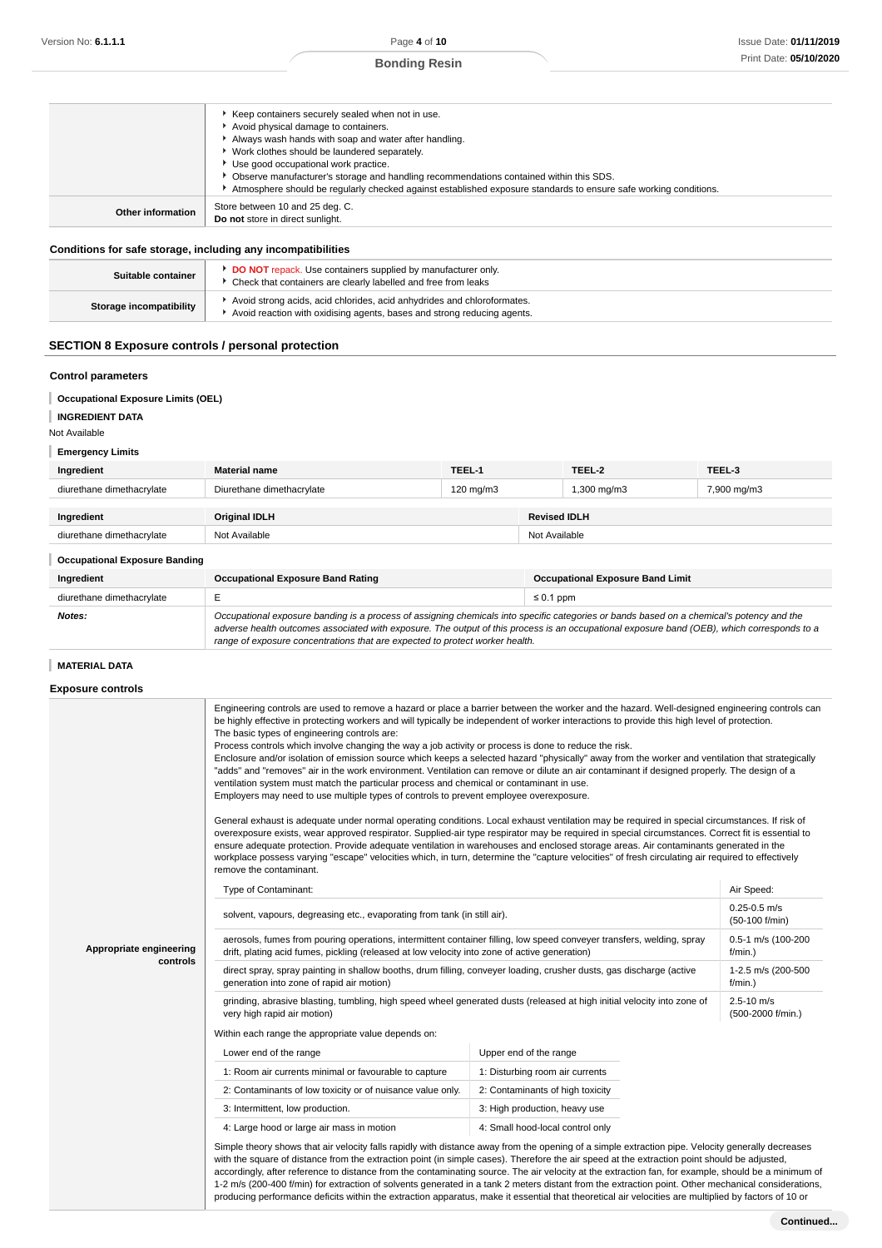| Work clothes should be laundered separately.<br>Use good occupational work practice.<br>• Observe manufacturer's storage and handling recommendations contained within this SDS. |
|----------------------------------------------------------------------------------------------------------------------------------------------------------------------------------|
| Atmosphere should be regularly checked against established exposure standards to ensure safe working conditions.                                                                 |
| Store between 10 and 25 deg. C.<br>Other information<br>Do not store in direct sunlight.                                                                                         |

# **Conditions for safe storage, including any incompatibilities**

| Suitable container      | DO NOT repack. Use containers supplied by manufacturer only.<br>Check that containers are clearly labelled and free from leaks                     |
|-------------------------|----------------------------------------------------------------------------------------------------------------------------------------------------|
| Storage incompatibility | Avoid strong acids, acid chlorides, acid anhydrides and chloroformates.<br>Avoid reaction with oxidising agents, bases and strong reducing agents. |

# **SECTION 8 Exposure controls / personal protection**

#### **Control parameters**

- **Occupational Exposure Limits (OEL)**
- **INGREDIENT DATA**

#### Not Available

# **Emergency Limits**

| Ingredient                | <b>Material name</b>      | TEEL-1             |                     | TEEL-2      | TEEL-3      |
|---------------------------|---------------------------|--------------------|---------------------|-------------|-------------|
| diurethane dimethacrylate | Diurethane dimethacrylate | $120 \text{ mg/m}$ |                     | 1,300 mg/m3 | 7,900 mg/m3 |
| Ingredient                | <b>Original IDLH</b>      |                    | <b>Revised IDLH</b> |             |             |
| diurethane dimethacrylate | Not Available             |                    | Not Available       |             |             |

# **Occupational Exposure Banding**

| oppupunonan Exposare Bananny |                                                                                                                                                                                                                                                                                                                                                                          |                                         |  |  |
|------------------------------|--------------------------------------------------------------------------------------------------------------------------------------------------------------------------------------------------------------------------------------------------------------------------------------------------------------------------------------------------------------------------|-----------------------------------------|--|--|
| Ingredient                   | <b>Occupational Exposure Band Rating</b>                                                                                                                                                                                                                                                                                                                                 | <b>Occupational Exposure Band Limit</b> |  |  |
| diurethane dimethacrylate    |                                                                                                                                                                                                                                                                                                                                                                          | $\leq 0.1$ ppm                          |  |  |
| Notes:                       | Occupational exposure banding is a process of assigning chemicals into specific categories or bands based on a chemical's potency and the<br>adverse health outcomes associated with exposure. The output of this process is an occupational exposure band (OEB), which corresponds to a<br>range of exposure concentrations that are expected to protect worker health. |                                         |  |  |

# **MATERIAL DATA**

# **Exposure controls**

|                                     | Engineering controls are used to remove a hazard or place a barrier between the worker and the hazard. Well-designed engineering controls can<br>be highly effective in protecting workers and will typically be independent of worker interactions to provide this high level of protection.<br>The basic types of engineering controls are:<br>Process controls which involve changing the way a job activity or process is done to reduce the risk.<br>Enclosure and/or isolation of emission source which keeps a selected hazard "physically" away from the worker and ventilation that strategically<br>"adds" and "removes" air in the work environment. Ventilation can remove or dilute an air contaminant if designed properly. The design of a<br>ventilation system must match the particular process and chemical or contaminant in use.<br>Employers may need to use multiple types of controls to prevent employee overexposure.<br>General exhaust is adequate under normal operating conditions. Local exhaust ventilation may be required in special circumstances. If risk of<br>overexposure exists, wear approved respirator. Supplied-air type respirator may be required in special circumstances. Correct fit is essential to<br>ensure adequate protection. Provide adequate ventilation in warehouses and enclosed storage areas. Air contaminants generated in the<br>workplace possess varying "escape" velocities which, in turn, determine the "capture velocities" of fresh circulating air required to effectively<br>remove the contaminant. |                                    |  |  |  |
|-------------------------------------|-------------------------------------------------------------------------------------------------------------------------------------------------------------------------------------------------------------------------------------------------------------------------------------------------------------------------------------------------------------------------------------------------------------------------------------------------------------------------------------------------------------------------------------------------------------------------------------------------------------------------------------------------------------------------------------------------------------------------------------------------------------------------------------------------------------------------------------------------------------------------------------------------------------------------------------------------------------------------------------------------------------------------------------------------------------------------------------------------------------------------------------------------------------------------------------------------------------------------------------------------------------------------------------------------------------------------------------------------------------------------------------------------------------------------------------------------------------------------------------------------------------------------------------------------------------------------------|------------------------------------|--|--|--|
|                                     | Type of Contaminant:                                                                                                                                                                                                                                                                                                                                                                                                                                                                                                                                                                                                                                                                                                                                                                                                                                                                                                                                                                                                                                                                                                                                                                                                                                                                                                                                                                                                                                                                                                                                                          | Air Speed:                         |  |  |  |
|                                     | solvent, vapours, degreasing etc., evaporating from tank (in still air).                                                                                                                                                                                                                                                                                                                                                                                                                                                                                                                                                                                                                                                                                                                                                                                                                                                                                                                                                                                                                                                                                                                                                                                                                                                                                                                                                                                                                                                                                                      | $0.25 - 0.5$ m/s<br>(50-100 f/min) |  |  |  |
| Appropriate engineering<br>controls | aerosols, fumes from pouring operations, intermittent container filling, low speed conveyer transfers, welding, spray<br>drift, plating acid fumes, pickling (released at low velocity into zone of active generation)                                                                                                                                                                                                                                                                                                                                                                                                                                                                                                                                                                                                                                                                                                                                                                                                                                                                                                                                                                                                                                                                                                                                                                                                                                                                                                                                                        | 0.5-1 m/s (100-200<br>$f/min.$ )   |  |  |  |
|                                     | direct spray, spray painting in shallow booths, drum filling, conveyer loading, crusher dusts, gas discharge (active<br>generation into zone of rapid air motion)                                                                                                                                                                                                                                                                                                                                                                                                                                                                                                                                                                                                                                                                                                                                                                                                                                                                                                                                                                                                                                                                                                                                                                                                                                                                                                                                                                                                             | 1-2.5 m/s (200-500<br>f/min.)      |  |  |  |
|                                     | grinding, abrasive blasting, tumbling, high speed wheel generated dusts (released at high initial velocity into zone of<br>very high rapid air motion)                                                                                                                                                                                                                                                                                                                                                                                                                                                                                                                                                                                                                                                                                                                                                                                                                                                                                                                                                                                                                                                                                                                                                                                                                                                                                                                                                                                                                        | 2.5-10 m/s<br>(500-2000 f/min.)    |  |  |  |
|                                     | Within each range the appropriate value depends on:                                                                                                                                                                                                                                                                                                                                                                                                                                                                                                                                                                                                                                                                                                                                                                                                                                                                                                                                                                                                                                                                                                                                                                                                                                                                                                                                                                                                                                                                                                                           |                                    |  |  |  |
|                                     | Lower end of the range                                                                                                                                                                                                                                                                                                                                                                                                                                                                                                                                                                                                                                                                                                                                                                                                                                                                                                                                                                                                                                                                                                                                                                                                                                                                                                                                                                                                                                                                                                                                                        | Upper end of the range             |  |  |  |
|                                     | 1: Room air currents minimal or favourable to capture                                                                                                                                                                                                                                                                                                                                                                                                                                                                                                                                                                                                                                                                                                                                                                                                                                                                                                                                                                                                                                                                                                                                                                                                                                                                                                                                                                                                                                                                                                                         | 1: Disturbing room air currents    |  |  |  |
|                                     | 2: Contaminants of low toxicity or of nuisance value only.                                                                                                                                                                                                                                                                                                                                                                                                                                                                                                                                                                                                                                                                                                                                                                                                                                                                                                                                                                                                                                                                                                                                                                                                                                                                                                                                                                                                                                                                                                                    | 2: Contaminants of high toxicity   |  |  |  |
|                                     | 3: Intermittent, low production.                                                                                                                                                                                                                                                                                                                                                                                                                                                                                                                                                                                                                                                                                                                                                                                                                                                                                                                                                                                                                                                                                                                                                                                                                                                                                                                                                                                                                                                                                                                                              | 3: High production, heavy use      |  |  |  |
|                                     | 4: Large hood or large air mass in motion                                                                                                                                                                                                                                                                                                                                                                                                                                                                                                                                                                                                                                                                                                                                                                                                                                                                                                                                                                                                                                                                                                                                                                                                                                                                                                                                                                                                                                                                                                                                     | 4: Small hood-local control only   |  |  |  |
|                                     | Simple theory shows that air velocity falls rapidly with distance away from the opening of a simple extraction pipe. Velocity generally decreases<br>with the square of distance from the extraction point (in simple cases). Therefore the air speed at the extraction point should be adjusted,<br>accordingly, after reference to distance from the contaminating source. The air velocity at the extraction fan, for example, should be a minimum of<br>1-2 m/s (200-400 f/min) for extraction of solvents generated in a tank 2 meters distant from the extraction point. Other mechanical considerations,<br>producing performance deficits within the extraction apparatus, make it essential that theoretical air velocities are multiplied by factors of 10 or                                                                                                                                                                                                                                                                                                                                                                                                                                                                                                                                                                                                                                                                                                                                                                                                       |                                    |  |  |  |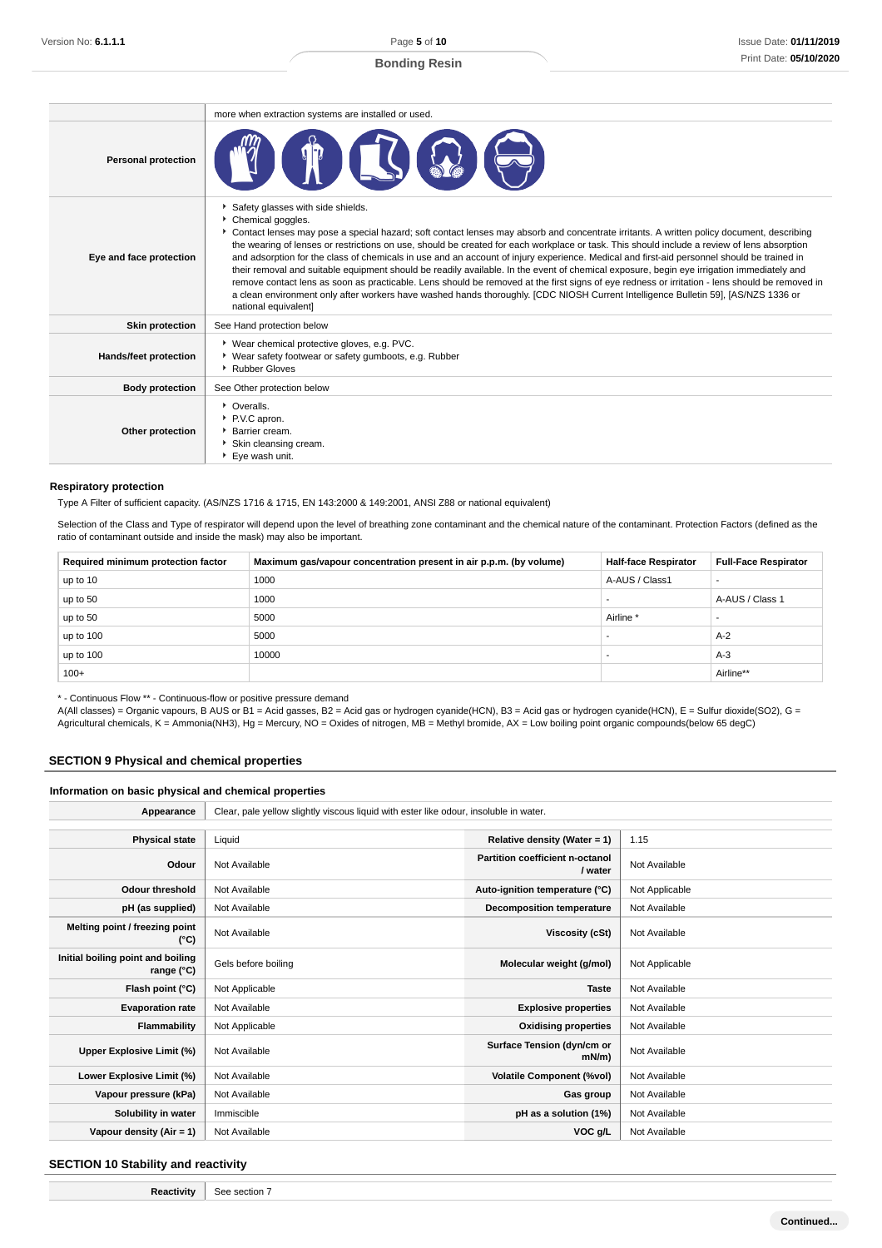|                            | more when extraction systems are installed or used.                                                                                                                                                                                                                                                                                                                                                                                                                                                                                                                                                                                                                                                                                                                                                                                                                                                                                                             |  |  |  |  |
|----------------------------|-----------------------------------------------------------------------------------------------------------------------------------------------------------------------------------------------------------------------------------------------------------------------------------------------------------------------------------------------------------------------------------------------------------------------------------------------------------------------------------------------------------------------------------------------------------------------------------------------------------------------------------------------------------------------------------------------------------------------------------------------------------------------------------------------------------------------------------------------------------------------------------------------------------------------------------------------------------------|--|--|--|--|
| <b>Personal protection</b> |                                                                                                                                                                                                                                                                                                                                                                                                                                                                                                                                                                                                                                                                                                                                                                                                                                                                                                                                                                 |  |  |  |  |
| Eye and face protection    | Safety glasses with side shields.<br>Chemical goggles.<br>▶ Contact lenses may pose a special hazard; soft contact lenses may absorb and concentrate irritants. A written policy document, describing<br>the wearing of lenses or restrictions on use, should be created for each workplace or task. This should include a review of lens absorption<br>and adsorption for the class of chemicals in use and an account of injury experience. Medical and first-aid personnel should be trained in<br>their removal and suitable equipment should be readily available. In the event of chemical exposure, begin eye irrigation immediately and<br>remove contact lens as soon as practicable. Lens should be removed at the first signs of eye redness or irritation - lens should be removed in<br>a clean environment only after workers have washed hands thoroughly. [CDC NIOSH Current Intelligence Bulletin 59], [AS/NZS 1336 or<br>national equivalent] |  |  |  |  |
| <b>Skin protection</b>     | See Hand protection below                                                                                                                                                                                                                                                                                                                                                                                                                                                                                                                                                                                                                                                                                                                                                                                                                                                                                                                                       |  |  |  |  |
| Hands/feet protection      | ▶ Wear chemical protective gloves, e.g. PVC.<br>▶ Wear safety footwear or safety gumboots, e.g. Rubber<br>▶ Rubber Gloves                                                                                                                                                                                                                                                                                                                                                                                                                                                                                                                                                                                                                                                                                                                                                                                                                                       |  |  |  |  |
| <b>Body protection</b>     | See Other protection below                                                                                                                                                                                                                                                                                                                                                                                                                                                                                                                                                                                                                                                                                                                                                                                                                                                                                                                                      |  |  |  |  |
| Other protection           | • Overalls.<br>P.V.C apron.<br>Barrier cream.<br>Skin cleansing cream.<br>▶ Eve wash unit.                                                                                                                                                                                                                                                                                                                                                                                                                                                                                                                                                                                                                                                                                                                                                                                                                                                                      |  |  |  |  |

#### **Respiratory protection**

Type A Filter of sufficient capacity. (AS/NZS 1716 & 1715, EN 143:2000 & 149:2001, ANSI Z88 or national equivalent)

Selection of the Class and Type of respirator will depend upon the level of breathing zone contaminant and the chemical nature of the contaminant. Protection Factors (defined as the ratio of contaminant outside and inside the mask) may also be important.

| Required minimum protection factor | Maximum gas/vapour concentration present in air p.p.m. (by volume) | <b>Half-face Respirator</b> | <b>Full-Face Respirator</b> |
|------------------------------------|--------------------------------------------------------------------|-----------------------------|-----------------------------|
| up to 10                           | 1000                                                               | A-AUS / Class1              |                             |
| up to 50                           | 1000                                                               |                             | A-AUS / Class 1             |
| up to 50                           | 5000                                                               | Airline <sup>*</sup>        |                             |
| up to 100                          | 5000                                                               |                             | $A-2$                       |
| up to 100                          | 10000                                                              |                             | $A-3$                       |
| $100+$                             |                                                                    |                             | Airline**                   |

\* - Continuous Flow \*\* - Continuous-flow or positive pressure demand

A(All classes) = Organic vapours, B AUS or B1 = Acid gasses, B2 = Acid gas or hydrogen cyanide(HCN), B3 = Acid gas or hydrogen cyanide(HCN), E = Sulfur dioxide(SO2), G = Agricultural chemicals, K = Ammonia(NH3), Hg = Mercury, NO = Oxides of nitrogen, MB = Methyl bromide, AX = Low boiling point organic compounds(below 65 degC)

# **SECTION 9 Physical and chemical properties**

#### **Information on basic physical and chemical properties**

| Appearance                                               | Clear, pale yellow slightly viscous liquid with ester like odour, insoluble in water. |                                            |                |  |
|----------------------------------------------------------|---------------------------------------------------------------------------------------|--------------------------------------------|----------------|--|
| <b>Physical state</b>                                    | Liquid                                                                                | Relative density (Water = 1)               | 1.15           |  |
| Odour                                                    | Not Available                                                                         | Partition coefficient n-octanol<br>/ water | Not Available  |  |
| <b>Odour threshold</b>                                   | Not Available                                                                         | Auto-ignition temperature (°C)             | Not Applicable |  |
| pH (as supplied)                                         | Not Available                                                                         | <b>Decomposition temperature</b>           | Not Available  |  |
| Melting point / freezing point<br>(°C)                   | Not Available                                                                         | Viscosity (cSt)                            | Not Available  |  |
| Initial boiling point and boiling<br>range $(^{\circ}C)$ | Gels before boiling                                                                   | Molecular weight (g/mol)                   | Not Applicable |  |
| Flash point (°C)                                         | Not Applicable                                                                        | <b>Taste</b>                               | Not Available  |  |
| <b>Evaporation rate</b>                                  | Not Available                                                                         | <b>Explosive properties</b>                | Not Available  |  |
| <b>Flammability</b>                                      | Not Applicable                                                                        | <b>Oxidising properties</b>                | Not Available  |  |
| Upper Explosive Limit (%)                                | Not Available                                                                         | Surface Tension (dyn/cm or<br>$mN/m$ )     | Not Available  |  |
| Lower Explosive Limit (%)                                | Not Available                                                                         | <b>Volatile Component (%vol)</b>           | Not Available  |  |
| Vapour pressure (kPa)                                    | Not Available                                                                         | Gas group                                  | Not Available  |  |
| Solubility in water                                      | Immiscible                                                                            | pH as a solution (1%)                      | Not Available  |  |
| Vapour density (Air = 1)                                 | Not Available                                                                         | VOC g/L                                    | Not Available  |  |

# **SECTION 10 Stability and reactivity**

**Reactivity** See section 7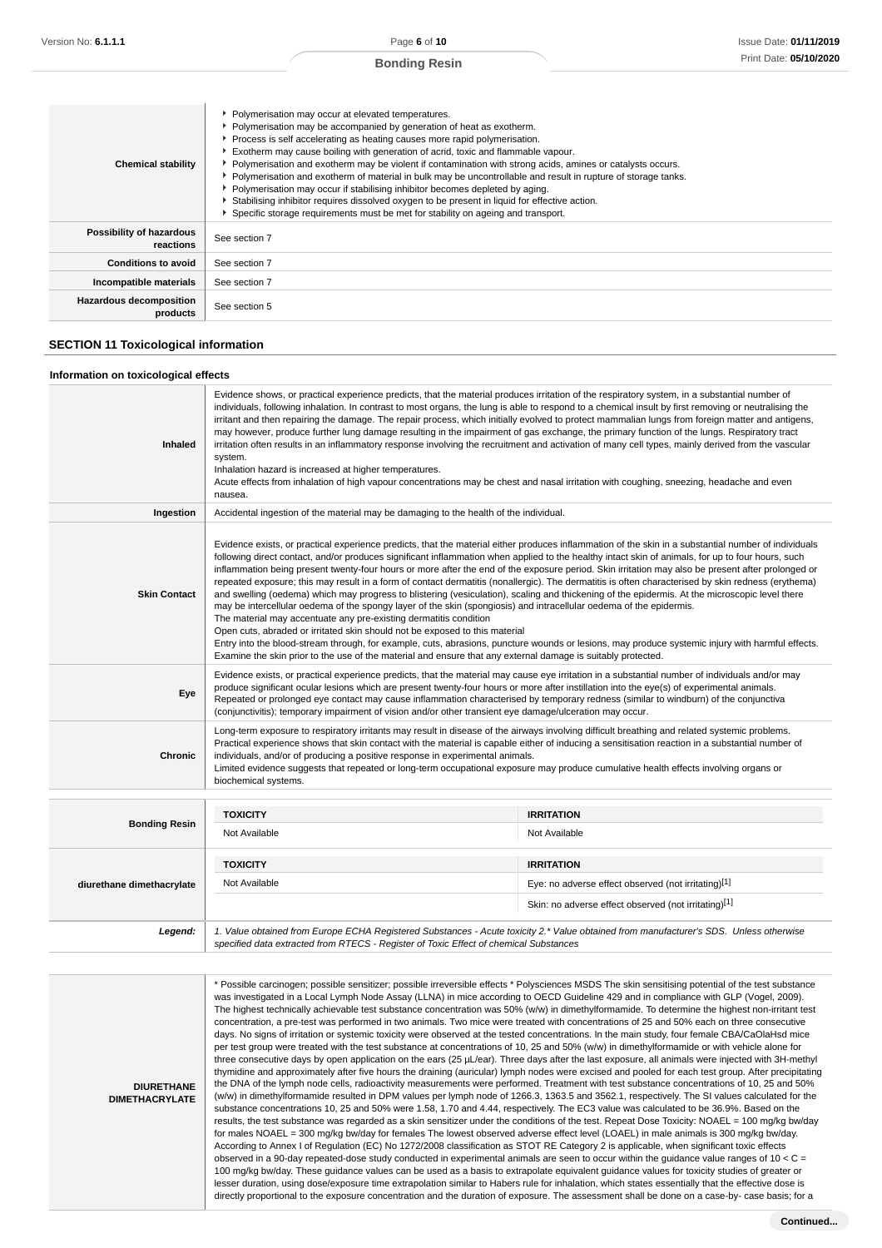| <b>Bonding Resin</b> |
|----------------------|
|----------------------|

| <b>Chemical stability</b>             | • Polymerisation may occur at elevated temperatures.<br>• Polymerisation may be accompanied by generation of heat as exotherm.<br>▶ Process is self accelerating as heating causes more rapid polymerisation.<br>Exotherm may cause boiling with generation of acrid, toxic and flammable vapour.<br>• Polymerisation and exotherm may be violent if contamination with strong acids, amines or catalysts occurs.<br>• Polymerisation and exotherm of material in bulk may be uncontrollable and result in rupture of storage tanks.<br>• Polymerisation may occur if stabilising inhibitor becomes depleted by aging.<br>▶ Stabilising inhibitor requires dissolved oxygen to be present in liquid for effective action.<br>Specific storage requirements must be met for stability on ageing and transport. |
|---------------------------------------|---------------------------------------------------------------------------------------------------------------------------------------------------------------------------------------------------------------------------------------------------------------------------------------------------------------------------------------------------------------------------------------------------------------------------------------------------------------------------------------------------------------------------------------------------------------------------------------------------------------------------------------------------------------------------------------------------------------------------------------------------------------------------------------------------------------|
| Possibility of hazardous<br>reactions | See section 7                                                                                                                                                                                                                                                                                                                                                                                                                                                                                                                                                                                                                                                                                                                                                                                                 |
| <b>Conditions to avoid</b>            | See section 7                                                                                                                                                                                                                                                                                                                                                                                                                                                                                                                                                                                                                                                                                                                                                                                                 |
| Incompatible materials                | See section 7                                                                                                                                                                                                                                                                                                                                                                                                                                                                                                                                                                                                                                                                                                                                                                                                 |
| Hazardous decomposition<br>products   | See section 5                                                                                                                                                                                                                                                                                                                                                                                                                                                                                                                                                                                                                                                                                                                                                                                                 |

# **SECTION 11 Toxicological information**

#### **Information on toxicological effects**

| Inhaled                   | Evidence shows, or practical experience predicts, that the material produces irritation of the respiratory system, in a substantial number of<br>individuals, following inhalation. In contrast to most organs, the lung is able to respond to a chemical insult by first removing or neutralising the<br>irritant and then repairing the damage. The repair process, which initially evolved to protect mammalian lungs from foreign matter and antigens,<br>may however, produce further lung damage resulting in the impairment of gas exchange, the primary function of the lungs. Respiratory tract<br>irritation often results in an inflammatory response involving the recruitment and activation of many cell types, mainly derived from the vascular<br>system.<br>Inhalation hazard is increased at higher temperatures.<br>Acute effects from inhalation of high vapour concentrations may be chest and nasal irritation with coughing, sneezing, headache and even<br>nausea.                                                                                                                                                                                                                                                                                                                            |                                                                                                                                        |  |
|---------------------------|-----------------------------------------------------------------------------------------------------------------------------------------------------------------------------------------------------------------------------------------------------------------------------------------------------------------------------------------------------------------------------------------------------------------------------------------------------------------------------------------------------------------------------------------------------------------------------------------------------------------------------------------------------------------------------------------------------------------------------------------------------------------------------------------------------------------------------------------------------------------------------------------------------------------------------------------------------------------------------------------------------------------------------------------------------------------------------------------------------------------------------------------------------------------------------------------------------------------------------------------------------------------------------------------------------------------------|----------------------------------------------------------------------------------------------------------------------------------------|--|
| Ingestion                 | Accidental ingestion of the material may be damaging to the health of the individual.                                                                                                                                                                                                                                                                                                                                                                                                                                                                                                                                                                                                                                                                                                                                                                                                                                                                                                                                                                                                                                                                                                                                                                                                                                 |                                                                                                                                        |  |
| <b>Skin Contact</b>       | Evidence exists, or practical experience predicts, that the material either produces inflammation of the skin in a substantial number of individuals<br>following direct contact, and/or produces significant inflammation when applied to the healthy intact skin of animals, for up to four hours, such<br>inflammation being present twenty-four hours or more after the end of the exposure period. Skin irritation may also be present after prolonged or<br>repeated exposure; this may result in a form of contact dermatitis (nonallergic). The dermatitis is often characterised by skin redness (erythema)<br>and swelling (oedema) which may progress to blistering (vesiculation), scaling and thickening of the epidermis. At the microscopic level there<br>may be intercellular oedema of the spongy layer of the skin (spongiosis) and intracellular oedema of the epidermis.<br>The material may accentuate any pre-existing dermatitis condition<br>Open cuts, abraded or irritated skin should not be exposed to this material<br>Entry into the blood-stream through, for example, cuts, abrasions, puncture wounds or lesions, may produce systemic injury with harmful effects.<br>Examine the skin prior to the use of the material and ensure that any external damage is suitably protected. |                                                                                                                                        |  |
| Eye                       | Evidence exists, or practical experience predicts, that the material may cause eye irritation in a substantial number of individuals and/or may<br>produce significant ocular lesions which are present twenty-four hours or more after instillation into the eye(s) of experimental animals.<br>Repeated or prolonged eye contact may cause inflammation characterised by temporary redness (similar to windburn) of the conjunctiva<br>(conjunctivitis); temporary impairment of vision and/or other transient eye damage/ulceration may occur.                                                                                                                                                                                                                                                                                                                                                                                                                                                                                                                                                                                                                                                                                                                                                                     |                                                                                                                                        |  |
| <b>Chronic</b>            | Long-term exposure to respiratory irritants may result in disease of the airways involving difficult breathing and related systemic problems.<br>Practical experience shows that skin contact with the material is capable either of inducing a sensitisation reaction in a substantial number of<br>individuals, and/or of producing a positive response in experimental animals.<br>Limited evidence suggests that repeated or long-term occupational exposure may produce cumulative health effects involving organs or<br>biochemical systems.                                                                                                                                                                                                                                                                                                                                                                                                                                                                                                                                                                                                                                                                                                                                                                    |                                                                                                                                        |  |
|                           | <b>TOXICITY</b>                                                                                                                                                                                                                                                                                                                                                                                                                                                                                                                                                                                                                                                                                                                                                                                                                                                                                                                                                                                                                                                                                                                                                                                                                                                                                                       | <b>IRRITATION</b>                                                                                                                      |  |
| <b>Bonding Resin</b>      | Not Available                                                                                                                                                                                                                                                                                                                                                                                                                                                                                                                                                                                                                                                                                                                                                                                                                                                                                                                                                                                                                                                                                                                                                                                                                                                                                                         | Not Available                                                                                                                          |  |
|                           | <b>TOXICITY</b>                                                                                                                                                                                                                                                                                                                                                                                                                                                                                                                                                                                                                                                                                                                                                                                                                                                                                                                                                                                                                                                                                                                                                                                                                                                                                                       | <b>IRRITATION</b>                                                                                                                      |  |
| diurethane dimethacrylate | Not Available                                                                                                                                                                                                                                                                                                                                                                                                                                                                                                                                                                                                                                                                                                                                                                                                                                                                                                                                                                                                                                                                                                                                                                                                                                                                                                         | Eye: no adverse effect observed (not irritating)[1]                                                                                    |  |
|                           |                                                                                                                                                                                                                                                                                                                                                                                                                                                                                                                                                                                                                                                                                                                                                                                                                                                                                                                                                                                                                                                                                                                                                                                                                                                                                                                       | Skin: no adverse effect observed (not irritating)[1]                                                                                   |  |
| Legend:                   | specified data extracted from RTECS - Register of Toxic Effect of chemical Substances                                                                                                                                                                                                                                                                                                                                                                                                                                                                                                                                                                                                                                                                                                                                                                                                                                                                                                                                                                                                                                                                                                                                                                                                                                 | 1. Value obtained from Europe ECHA Registered Substances - Acute toxicity 2.* Value obtained from manufacturer's SDS. Unless otherwise |  |

**DIURETHANE DIMETHACRYLATE** \* Possible carcinogen; possible sensitizer; possible irreversible effects \* Polysciences MSDS The skin sensitising potential of the test substance was investigated in a Local Lymph Node Assay (LLNA) in mice according to OECD Guideline 429 and in compliance with GLP (Vogel, 2009). The highest technically achievable test substance concentration was 50% (w/w) in dimethylformamide. To determine the highest non-irritant test concentration, a pre-test was performed in two animals. Two mice were treated with concentrations of 25 and 50% each on three consecutive days. No signs of irritation or systemic toxicity were observed at the tested concentrations. In the main study, four female CBA/CaOlaHsd mice per test group were treated with the test substance at concentrations of 10, 25 and 50% (w/w) in dimethylformamide or with vehicle alone for three consecutive days by open application on the ears (25 µL/ear). Three days after the last exposure, all animals were injected with 3H-methyl thymidine and approximately after five hours the draining (auricular) lymph nodes were excised and pooled for each test group. After precipitating the DNA of the lymph node cells, radioactivity measurements were performed. Treatment with test substance concentrations of 10, 25 and 50% (w/w) in dimethylformamide resulted in DPM values per lymph node of 1266.3, 1363.5 and 3562.1, respectively. The SI values calculated for the substance concentrations 10, 25 and 50% were 1.58, 1.70 and 4.44, respectively. The EC3 value was calculated to be 36.9%. Based on the results, the test substance was regarded as a skin sensitizer under the conditions of the test. Repeat Dose Toxicity: NOAEL = 100 mg/kg bw/day for males NOAEL = 300 mg/kg bw/day for females The lowest observed adverse effect level (LOAEL) in male animals is 300 mg/kg bw/day. According to Annex I of Regulation (EC) No 1272/2008 classification as STOT RE Category 2 is applicable, when significant toxic effects observed in a 90-day repeated-dose study conducted in experimental animals are seen to occur within the guidance value ranges of 10 < C = 100 mg/kg bw/day. These guidance values can be used as a basis to extrapolate equivalent guidance values for toxicity studies of greater or lesser duration, using dose/exposure time extrapolation similar to Habers rule for inhalation, which states essentially that the effective dose is directly proportional to the exposure concentration and the duration of exposure. The assessment shall be done on a case-by- case basis; for a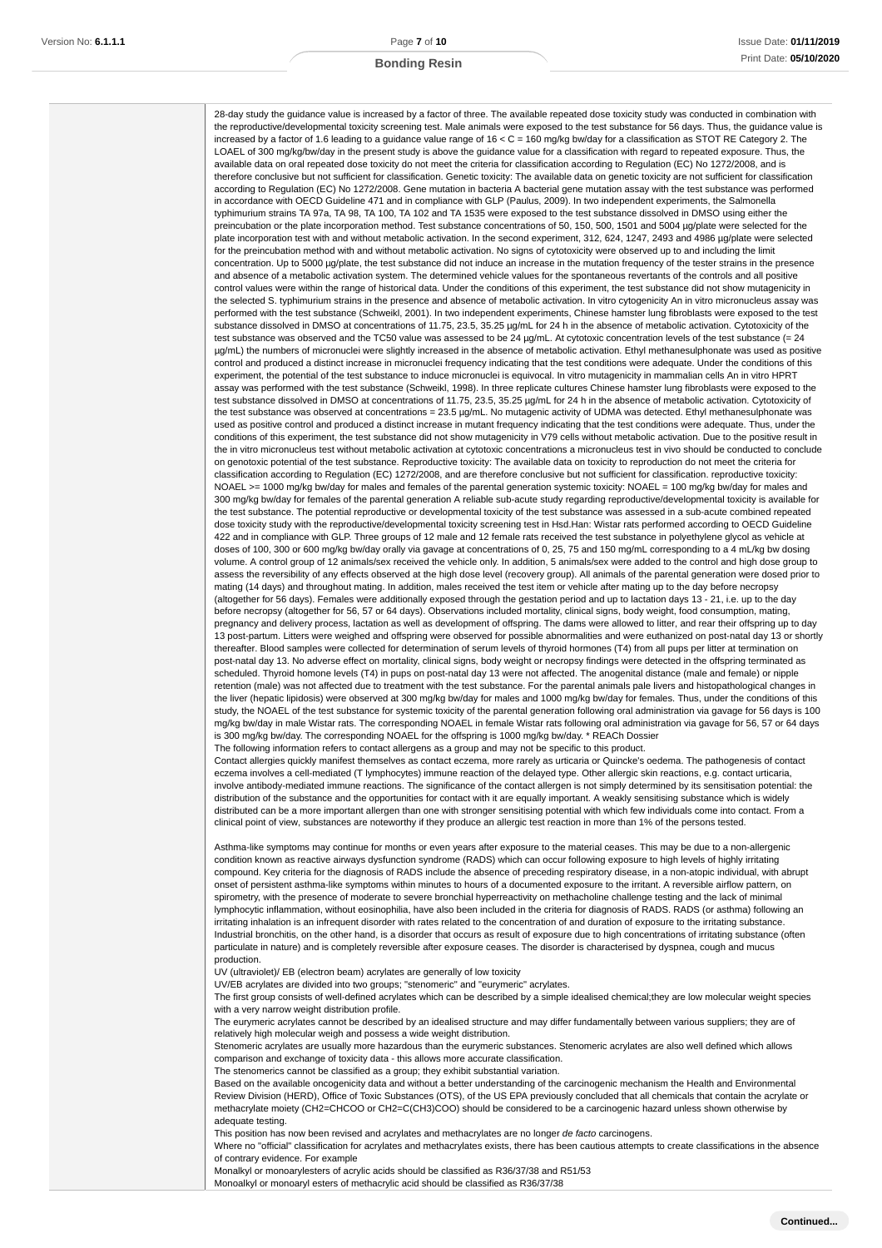28-day study the guidance value is increased by a factor of three. The available repeated dose toxicity study was conducted in combination with the reproductive/developmental toxicity screening test. Male animals were exposed to the test substance for 56 days. Thus, the guidance value is increased by a factor of 1.6 leading to a guidance value range of 16 < C = 160 mg/kg bw/day for a classification as STOT RE Category 2. The LOAEL of 300 mg/kg/bw/day in the present study is above the guidance value for a classification with regard to repeated exposure. Thus, the available data on oral repeated dose toxicity do not meet the criteria for classification according to Regulation (EC) No 1272/2008, and is therefore conclusive but not sufficient for classification. Genetic toxicity: The available data on genetic toxicity are not sufficient for classification according to Regulation (EC) No 1272/2008. Gene mutation in bacteria A bacterial gene mutation assay with the test substance was performed in accordance with OECD Guideline 471 and in compliance with GLP (Paulus, 2009). In two independent experiments, the Salmonella typhimurium strains TA 97a, TA 98, TA 100, TA 102 and TA 1535 were exposed to the test substance dissolved in DMSO using either the preincubation or the plate incorporation method. Test substance concentrations of 50, 150, 500, 1501 and 5004 µg/plate were selected for the plate incorporation test with and without metabolic activation. In the second experiment, 312, 624, 1247, 2493 and 4986 µg/plate were selected for the preincubation method with and without metabolic activation. No signs of cytotoxicity were observed up to and including the limit concentration. Up to 5000 ug/plate, the test substance did not induce an increase in the mutation frequency of the tester strains in the presence and absence of a metabolic activation system. The determined vehicle values for the spontaneous revertants of the controls and all positive control values were within the range of historical data. Under the conditions of this experiment, the test substance did not show mutagenicity in the selected S. typhimurium strains in the presence and absence of metabolic activation. In vitro cytogenicity An in vitro micronucleus assay was performed with the test substance (Schweikl, 2001). In two independent experiments, Chinese hamster lung fibroblasts were exposed to the test substance dissolved in DMSO at concentrations of 11.75, 23.5, 35.25 µg/mL for 24 h in the absence of metabolic activation. Cytotoxicity of the test substance was observed and the TC50 value was assessed to be 24  $\mu$ g/mL. At cytotoxic concentration levels of the test substance (= 24 µg/mL) the numbers of micronuclei were slightly increased in the absence of metabolic activation. Ethyl methanesulphonate was used as positive control and produced a distinct increase in micronuclei frequency indicating that the test conditions were adequate. Under the conditions of this experiment, the potential of the test substance to induce micronuclei is equivocal. In vitro mutagenicity in mammalian cells An in vitro HPRT assay was performed with the test substance (Schweikl, 1998). In three replicate cultures Chinese hamster lung fibroblasts were exposed to the test substance dissolved in DMSO at concentrations of 11.75, 23.5, 35.25 µg/mL for 24 h in the absence of metabolic activation. Cytotoxicity of the test substance was observed at concentrations = 23.5 µg/mL. No mutagenic activity of UDMA was detected. Ethyl methanesulphonate was used as positive control and produced a distinct increase in mutant frequency indicating that the test conditions were adequate. Thus, under the conditions of this experiment, the test substance did not show mutagenicity in V79 cells without metabolic activation. Due to the positive result in the in vitro micronucleus test without metabolic activation at cytotoxic concentrations a micronucleus test in vivo should be conducted to conclude on genotoxic potential of the test substance. Reproductive toxicity: The available data on toxicity to reproduction do not meet the criteria for classification according to Regulation (EC) 1272/2008, and are therefore conclusive but not sufficient for classification. reproductive toxicity: NOAEL >= 1000 mg/kg bw/day for males and females of the parental generation systemic toxicity: NOAEL = 100 mg/kg bw/day for males and 300 mg/kg bw/day for females of the parental generation A reliable sub-acute study regarding reproductive/developmental toxicity is available for the test substance. The potential reproductive or developmental toxicity of the test substance was assessed in a sub-acute combined repeated dose toxicity study with the reproductive/developmental toxicity screening test in Hsd.Han: Wistar rats performed according to OECD Guideline 422 and in compliance with GLP. Three groups of 12 male and 12 female rats received the test substance in polyethylene glycol as vehicle at doses of 100, 300 or 600 mg/kg bw/day orally via gavage at concentrations of 0, 25, 75 and 150 mg/mL corresponding to a 4 mL/kg bw dosing volume. A control group of 12 animals/sex received the vehicle only. In addition, 5 animals/sex were added to the control and high dose group to assess the reversibility of any effects observed at the high dose level (recovery group). All animals of the parental generation were dosed prior to mating (14 days) and throughout mating. In addition, males received the test item or vehicle after mating up to the day before necropsy (altogether for 56 days). Females were additionally exposed through the gestation period and up to lactation days 13 - 21, i.e. up to the day before necropsy (altogether for 56, 57 or 64 days). Observations included mortality, clinical signs, body weight, food consumption, mating, pregnancy and delivery process, lactation as well as development of offspring. The dams were allowed to litter, and rear their offspring up to day 13 post-partum. Litters were weighed and offspring were observed for possible abnormalities and were euthanized on post-natal day 13 or shortly thereafter. Blood samples were collected for determination of serum levels of thyroid hormones (T4) from all pups per litter at termination on post-natal day 13. No adverse effect on mortality, clinical signs, body weight or necropsy findings were detected in the offspring terminated as scheduled. Thyroid homone levels (T4) in pups on post-natal day 13 were not affected. The anogenital distance (male and female) or nipple retention (male) was not affected due to treatment with the test substance. For the parental animals pale livers and histopathological changes in the liver (hepatic lipidosis) were observed at 300 mg/kg bw/day for males and 1000 mg/kg bw/day for females. Thus, under the conditions of this study, the NOAEL of the test substance for systemic toxicity of the parental generation following oral administration via gavage for 56 days is 100 mg/kg bw/day in male Wistar rats. The corresponding NOAEL in female Wistar rats following oral administration via gavage for 56, 57 or 64 days is 300 mg/kg bw/day. The corresponding NOAEL for the offspring is 1000 mg/kg bw/day. \* REACh Dossier The following information refers to contact allergens as a group and may not be specific to this product.

Contact allergies quickly manifest themselves as contact eczema, more rarely as urticaria or Quincke's oedema. The pathogenesis of contact eczema involves a cell-mediated (T lymphocytes) immune reaction of the delayed type. Other allergic skin reactions, e.g. contact urticaria, involve antibody-mediated immune reactions. The significance of the contact allergen is not simply determined by its sensitisation potential: the distribution of the substance and the opportunities for contact with it are equally important. A weakly sensitising substance which is widely distributed can be a more important allergen than one with stronger sensitising potential with which few individuals come into contact. From a clinical point of view, substances are noteworthy if they produce an allergic test reaction in more than 1% of the persons tested.

Asthma-like symptoms may continue for months or even years after exposure to the material ceases. This may be due to a non-allergenic condition known as reactive airways dysfunction syndrome (RADS) which can occur following exposure to high levels of highly irritating compound. Key criteria for the diagnosis of RADS include the absence of preceding respiratory disease, in a non-atopic individual, with abrupt onset of persistent asthma-like symptoms within minutes to hours of a documented exposure to the irritant. A reversible airflow pattern, on spirometry, with the presence of moderate to severe bronchial hyperreactivity on methacholine challenge testing and the lack of minimal lymphocytic inflammation, without eosinophilia, have also been included in the criteria for diagnosis of RADS. RADS (or asthma) following an irritating inhalation is an infrequent disorder with rates related to the concentration of and duration of exposure to the irritating substance Industrial bronchitis, on the other hand, is a disorder that occurs as result of exposure due to high concentrations of irritating substance (often particulate in nature) and is completely reversible after exposure ceases. The disorder is characterised by dyspnea, cough and mucus production.

UV (ultraviolet)/ EB (electron beam) acrylates are generally of low toxicity

UV/EB acrylates are divided into two groups; "stenomeric" and "eurymeric" acrylates.

The first group consists of well-defined acrylates which can be described by a simple idealised chemical;they are low molecular weight species with a very narrow weight distribution profile.

The eurymeric acrylates cannot be described by an idealised structure and may differ fundamentally between various suppliers; they are of relatively high molecular weigh and possess a wide weight distribution.

Stenomeric acrylates are usually more hazardous than the eurymeric substances. Stenomeric acrylates are also well defined which allows comparison and exchange of toxicity data - this allows more accurate classification.

The stenomerics cannot be classified as a group; they exhibit substantial variation.

Based on the available oncogenicity data and without a better understanding of the carcinogenic mechanism the Health and Environmental Review Division (HERD), Office of Toxic Substances (OTS), of the US EPA previously concluded that all chemicals that contain the acrylate or methacrylate moiety (CH2=CHCOO or CH2=C(CH3)COO) should be considered to be a carcinogenic hazard unless shown otherwise by adequate testing.

This position has now been revised and acrylates and methacrylates are no longer de facto carcinogens.

Where no "official" classification for acrylates and methacrylates exists, there has been cautious attempts to create classifications in the absence of contrary evidence. For example

Monalkyl or monoarylesters of acrylic acids should be classified as R36/37/38 and R51/53

Monoalkyl or monoaryl esters of methacrylic acid should be classified as R36/37/38

**Continued...**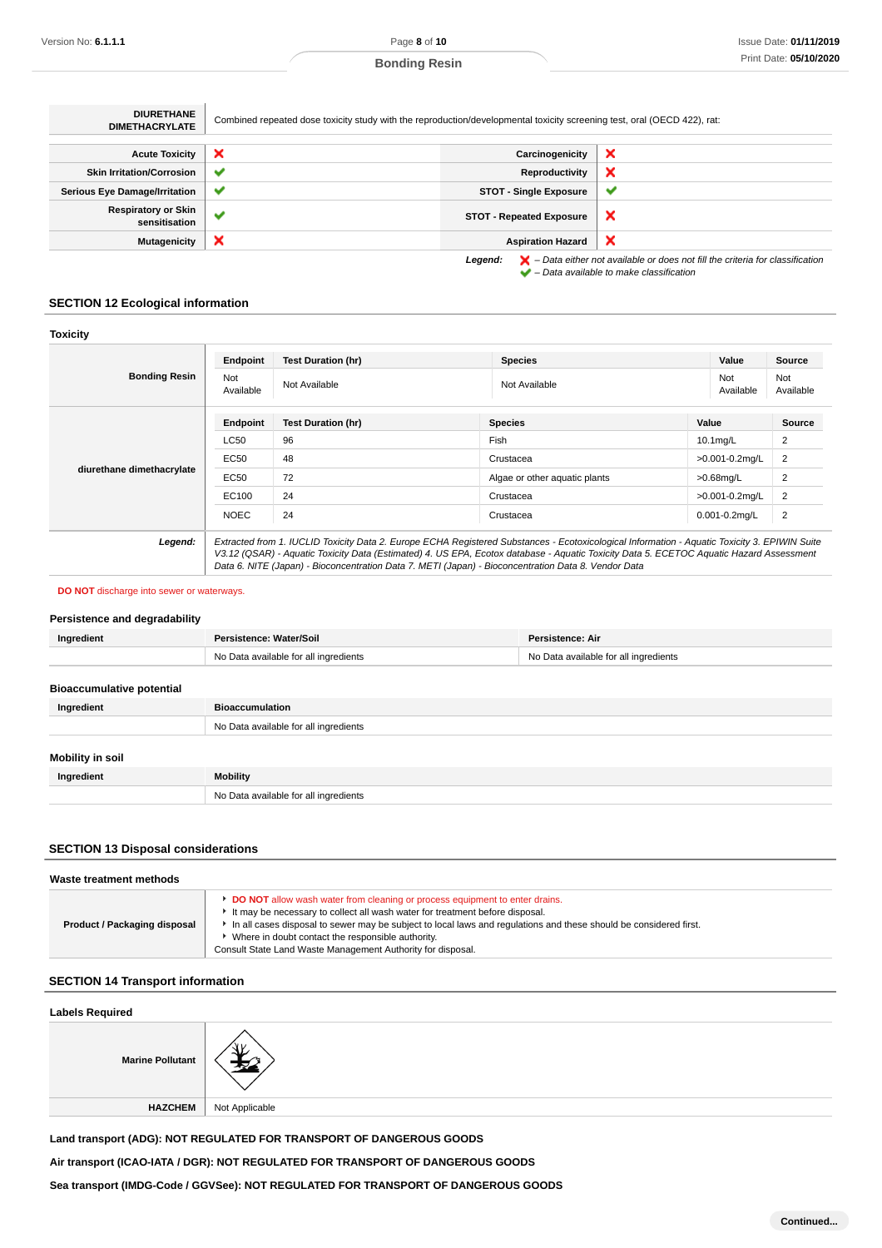| <b>DIURETHANE</b><br><b>DIMETHACRYLATE</b>  | Combined repeated dose toxicity study with the reproduction/developmental toxicity screening test, oral (OECD 422), rat: |                                 |                                                                                                    |
|---------------------------------------------|--------------------------------------------------------------------------------------------------------------------------|---------------------------------|----------------------------------------------------------------------------------------------------|
|                                             |                                                                                                                          |                                 |                                                                                                    |
| <b>Acute Toxicity</b>                       | ×                                                                                                                        | Carcinogenicity                 | ×                                                                                                  |
| <b>Skin Irritation/Corrosion</b>            | ✔                                                                                                                        | Reproductivity                  | ×                                                                                                  |
| <b>Serious Eye Damage/Irritation</b>        | ✔                                                                                                                        | <b>STOT - Single Exposure</b>   | w                                                                                                  |
| <b>Respiratory or Skin</b><br>sensitisation | $\checkmark$                                                                                                             | <b>STOT - Repeated Exposure</b> | ×                                                                                                  |
| <b>Mutagenicity</b>                         | ×                                                                                                                        | <b>Aspiration Hazard</b>        | ×                                                                                                  |
|                                             |                                                                                                                          | Legend:                         | $\blacktriangleright$ - Data either not available or does not fill the criteria for classification |

– Data available to make classification

# **SECTION 12 Ecological information**

| <b>Toxicity</b>           |                  |                                                                                                                                                                                                                                                                                                                                                                                                 |                               |                    |                  |
|---------------------------|------------------|-------------------------------------------------------------------------------------------------------------------------------------------------------------------------------------------------------------------------------------------------------------------------------------------------------------------------------------------------------------------------------------------------|-------------------------------|--------------------|------------------|
|                           | Endpoint         | <b>Test Duration (hr)</b>                                                                                                                                                                                                                                                                                                                                                                       | <b>Species</b>                | Value              | <b>Source</b>    |
| <b>Bonding Resin</b>      | Not<br>Available | Not Available                                                                                                                                                                                                                                                                                                                                                                                   | Not Available                 | Not<br>Available   | Not<br>Available |
|                           | Endpoint         | <b>Test Duration (hr)</b>                                                                                                                                                                                                                                                                                                                                                                       | <b>Species</b>                | Value              | Source           |
| diurethane dimethacrylate | <b>LC50</b>      | 96                                                                                                                                                                                                                                                                                                                                                                                              | Fish                          | $10.1$ mg/L        | $\overline{2}$   |
|                           | EC50             | 48                                                                                                                                                                                                                                                                                                                                                                                              | Crustacea                     | >0.001-0.2mg/L     | 2                |
|                           | <b>EC50</b>      | 72                                                                                                                                                                                                                                                                                                                                                                                              | Algae or other aquatic plants | $>0.68$ mg/L       | $\overline{2}$   |
|                           | EC100            | 24                                                                                                                                                                                                                                                                                                                                                                                              | Crustacea                     | >0.001-0.2mg/L     | 2                |
|                           | <b>NOEC</b>      | 24                                                                                                                                                                                                                                                                                                                                                                                              | Crustacea                     | $0.001 - 0.2$ mg/L | $\overline{2}$   |
| Legend:                   |                  | Extracted from 1. IUCLID Toxicity Data 2. Europe ECHA Registered Substances - Ecotoxicological Information - Aquatic Toxicity 3. EPIWIN Suite<br>V3.12 (QSAR) - Aquatic Toxicity Data (Estimated) 4. US EPA, Ecotox database - Aquatic Toxicity Data 5. ECETOC Aquatic Hazard Assessment<br>Data 6. NITE (Japan) - Bioconcentration Data 7. METI (Japan) - Bioconcentration Data 8. Vendor Data |                               |                    |                  |

#### **DO NOT** discharge into sewer or waterways.

#### **Persistence and degradability**

| Ingredient | Persistence: Water/Soil               | Persistence: Air                      |
|------------|---------------------------------------|---------------------------------------|
|            | No Data available for all ingredients | No Data available for all ingredients |

# **Bioaccumulative potential**

| Ingredient              | <b>Bioaccumulation</b>                |  |  |
|-------------------------|---------------------------------------|--|--|
|                         | No Data available for all ingredients |  |  |
| <b>Mobility in soil</b> |                                       |  |  |
| Ingredient              | Mobility                              |  |  |
|                         | No Data available for all ingredients |  |  |

# **SECTION 13 Disposal considerations**

| Waste treatment methods      |                                                                                                                                                                                                                                                                                                                                                                                                               |  |
|------------------------------|---------------------------------------------------------------------------------------------------------------------------------------------------------------------------------------------------------------------------------------------------------------------------------------------------------------------------------------------------------------------------------------------------------------|--|
| Product / Packaging disposal | <b>DO NOT</b> allow wash water from cleaning or process equipment to enter drains.<br>It may be necessary to collect all wash water for treatment before disposal.<br>In all cases disposal to sewer may be subject to local laws and regulations and these should be considered first.<br>• Where in doubt contact the responsible authority.<br>Consult State Land Waste Management Authority for disposal. |  |

# **SECTION 14 Transport information**

| <b>Labels Required</b>  |                |  |
|-------------------------|----------------|--|
| <b>Marine Pollutant</b> |                |  |
| HAZCHEM                 | Not Applicable |  |
|                         |                |  |

**Land transport (ADG): NOT REGULATED FOR TRANSPORT OF DANGEROUS GOODS**

**Air transport (ICAO-IATA / DGR): NOT REGULATED FOR TRANSPORT OF DANGEROUS GOODS**

**Sea transport (IMDG-Code / GGVSee): NOT REGULATED FOR TRANSPORT OF DANGEROUS GOODS**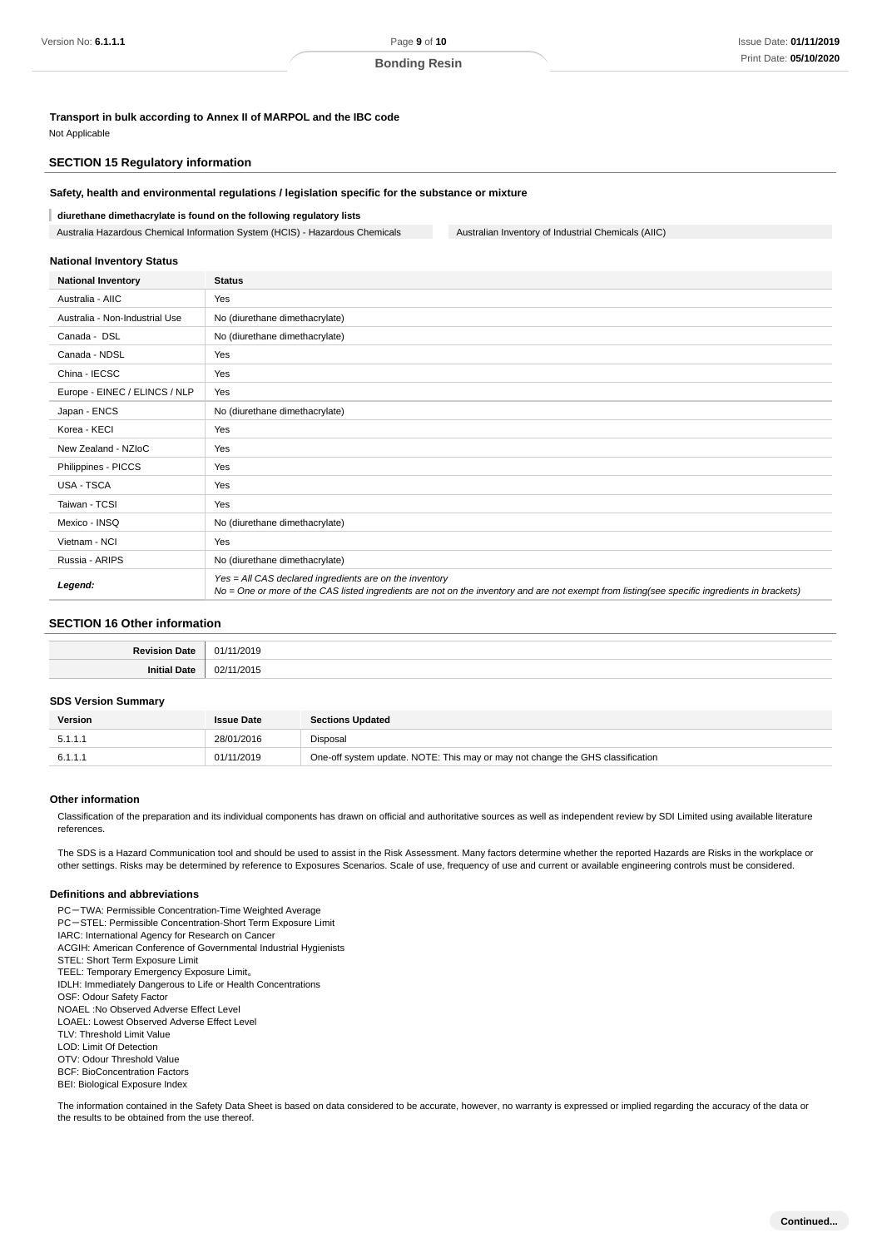# **Transport in bulk according to Annex II of MARPOL and the IBC code**

Not Applicable

## **SECTION 15 Regulatory information**

#### **Safety, health and environmental regulations / legislation specific for the substance or mixture**

#### **diurethane dimethacrylate is found on the following regulatory lists**

Australia Hazardous Chemical Information System (HCIS) - Hazardous Chemicals Australian Inventory of Industrial Chemicals (AIIC)

#### **National Inventory Status**

| <b>National Inventory</b>      | <b>Status</b>                                                                                                                                                                                            |
|--------------------------------|----------------------------------------------------------------------------------------------------------------------------------------------------------------------------------------------------------|
| Australia - AIIC               | Yes                                                                                                                                                                                                      |
| Australia - Non-Industrial Use | No (diurethane dimethacrylate)                                                                                                                                                                           |
| Canada - DSL                   | No (diurethane dimethacrylate)                                                                                                                                                                           |
| Canada - NDSL                  | Yes                                                                                                                                                                                                      |
| China - IECSC                  | Yes                                                                                                                                                                                                      |
| Europe - EINEC / ELINCS / NLP  | Yes                                                                                                                                                                                                      |
| Japan - ENCS                   | No (diurethane dimethacrylate)                                                                                                                                                                           |
| Korea - KECI                   | Yes                                                                                                                                                                                                      |
| New Zealand - NZIoC            | Yes                                                                                                                                                                                                      |
| Philippines - PICCS            | Yes                                                                                                                                                                                                      |
| <b>USA - TSCA</b>              | Yes                                                                                                                                                                                                      |
| Taiwan - TCSI                  | Yes                                                                                                                                                                                                      |
| Mexico - INSQ                  | No (diurethane dimethacrylate)                                                                                                                                                                           |
| Vietnam - NCI                  | Yes                                                                                                                                                                                                      |
| Russia - ARIPS                 | No (diurethane dimethacrylate)                                                                                                                                                                           |
| Legend:                        | Yes = All CAS declared ingredients are on the inventory<br>No = One or more of the CAS listed ingredients are not on the inventory and are not exempt from listing(see specific ingredients in brackets) |

#### **SECTION 16 Other information**

## **SDS Version Summary**

| <b>Version</b> | <b>Issue Date</b> | <b>Sections Updated</b>                                                        |
|----------------|-------------------|--------------------------------------------------------------------------------|
| 5.1.1.1        | 28/01/2016        | Disposal                                                                       |
| 6.1.1.1        | 01/11/2019        | One-off system update. NOTE: This may or may not change the GHS classification |

#### **Other information**

Classification of the preparation and its individual components has drawn on official and authoritative sources as well as independent review by SDI Limited using available literature references.

The SDS is a Hazard Communication tool and should be used to assist in the Risk Assessment. Many factors determine whether the reported Hazards are Risks in the workplace or other settings. Risks may be determined by reference to Exposures Scenarios. Scale of use, frequency of use and current or available engineering controls must be considered.

#### **Definitions and abbreviations**

PC-TWA: Permissible Concentration-Time Weighted Average PC-STEL: Permissible Concentration-Short Term Exposure Limit IARC: International Agency for Research on Cancer ACGIH: American Conference of Governmental Industrial Hygienists STEL: Short Term Exposure Limit TEEL: Temporary Emergency Exposure Limit。 IDLH: Immediately Dangerous to Life or Health Concentrations OSF: Odour Safety Factor NOAEL :No Observed Adverse Effect Level LOAEL: Lowest Observed Adverse Effect Level TLV: Threshold Limit Value LOD: Limit Of Detection OTV: Odour Threshold Value BCF: BioConcentration Factors BEI: Biological Exposure Index

The information contained in the Safety Data Sheet is based on data considered to be accurate, however, no warranty is expressed or implied regarding the accuracy of the data or the results to be obtained from the use thereof.